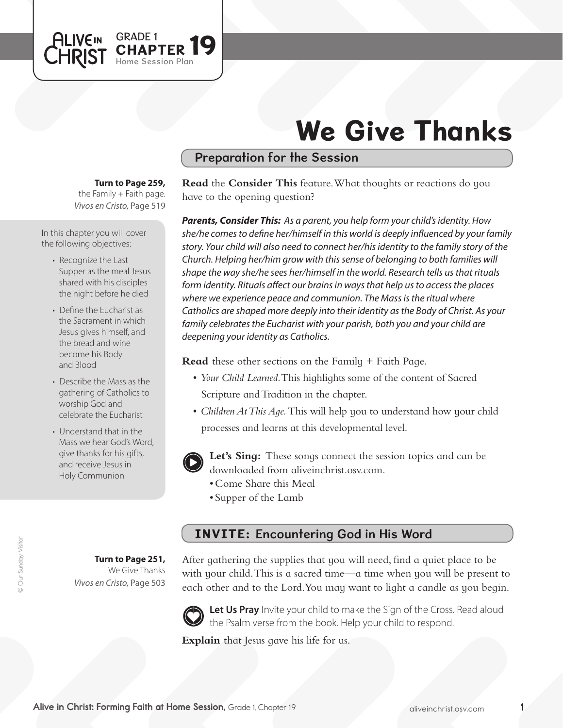

# We Give Thanks

#### Preparation for the Session

#### **Turn to Page 259,**

*Vivos en Cristo,* Page 519 the Family  $+$  Faith page.

In this chapter you will cover the following objectives:

- Recognize the Last Supper as the meal Jesus shared with his disciples the night before he died
- Define the Eucharist as the Sacrament in which Jesus gives himself, and the bread and wine become his Body and Blood
- Describe the Mass as the gathering of Catholics to worship God and celebrate the Eucharist
- Understand that in the Mass we hear God's Word, give thanks for his gifts, and receive Jesus in Holy Communion

**Read** the **Consider This** feature. What thoughts or reactions do you have to the opening question?

*Parents, Consider This: As a parent, you help form your child's identity. How she/he comes to define her/himself in this world is deeply influenced by your family story. Your child will also need to connect her/his identity to the family story of the Church. Helping her/him grow with this sense of belonging to both families will shape the way she/he sees her/himself in the world. Research tells us that rituals form identity. Rituals affect our brains in ways that help us to access the places where we experience peace and communion. The Mass is the ritual where Catholics are shaped more deeply into their identity as the Body of Christ. As your family celebrates the Eucharist with your parish, both you and your child are deepening your identity as Catholics.*

**Read** these other sections on the Family + Faith Page.

- • *Your Child Learned*. This highlights some of the content of Sacred Scripture and Tradition in the chapter.
- *Children At This Aqe*. This will help you to understand how your child processes and learns at this developmental level.



**Let's Sing:** These songs connect the session topics and can be downloaded from aliveinchrist.osv.com.

- • Come Share this Meal
- • Supper of the Lamb

## INVITE: Encountering God in His Word

**Turn to Page 251,** We Give Thanks *Vivos en Cristo,* Page 503 After gathering the supplies that you will need, find a quiet place to be with your child. This is a sacred time—a time when you will be present to each other and to the Lord.You may want to light a candle as you begin.



Let Us Pray Invite your child to make the Sign of the Cross. Read aloud the Psalm verse from the book. Help your child to respond.

**Explain** that Jesus gave his life for us.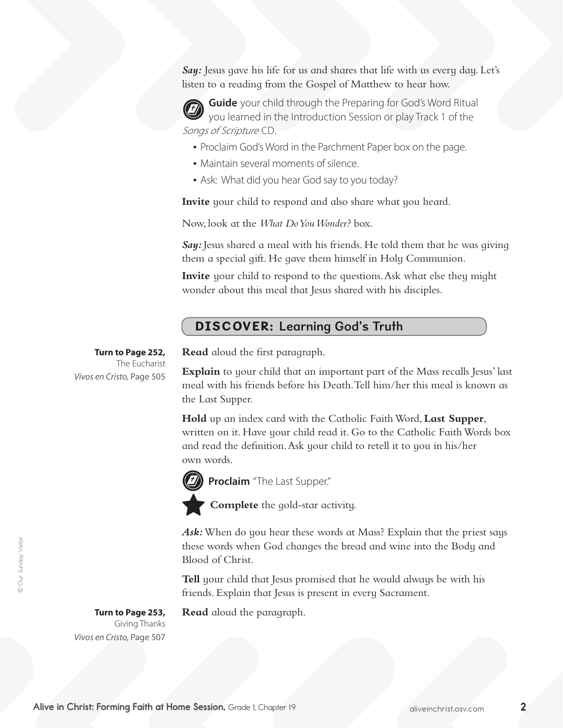**Say:** Jesus gave his life for us and shares that life with us every day. Let's listen to a reading from the Gospel of Matthew to hear how.



**Guide** your child through the Preparing for God's Word Ritual you learned in the Introduction Session or play Track 1 of the Songs of Scripture CD.

- Proclaim God's Word in the Parchment Paper box on the page.
- Maintain several moments of silence.
- Ask: What did you hear God say to you today?

**Invite** your child to respond and also share what you heard.

Now, look at the *What Do You Wonder?* box.

Say: Jesus shared a meal with his friends. He told them that he was giving them a special gift. He gave them himself in Holy Communion.

**Invite** your child to respond to the questions. Ask what else they might wonder about this meal that Jesus shared with his disciples.

### DISCOVER: Learning God's Truth

**Turn to Page 252,** The Eucharist *Vivos en Cristo,* Page 505 **Read** aloud the first paragraph.

**Explain** to your child that an important part of the Mass recalls Jesus' last meal with his friends before his Death. Tell him/her this meal is known as the Last Supper.

Hold up an index card with the Catholic Faith Word, Last Supper, written on it. Have your child read it. Go to the Catholic Faith Words box and read the definition. Ask your child to retell it to you in his/her own words.



**Proclaim** "The Last Supper."

**Complete** the gold-star activity.

Ask: When do you hear these words at Mass? Explain that the priest says these words when God changes the bread and wine into the Body and Blood of Christ.

**Tell** your child that Jesus promised that he would always be with his friends. Explain that Jesus is present in every Sacrament.

**Read** aloud the paragraph.

**Turn to Page 253,**  Giving Thanks *Vivos en Cristo,* Page 507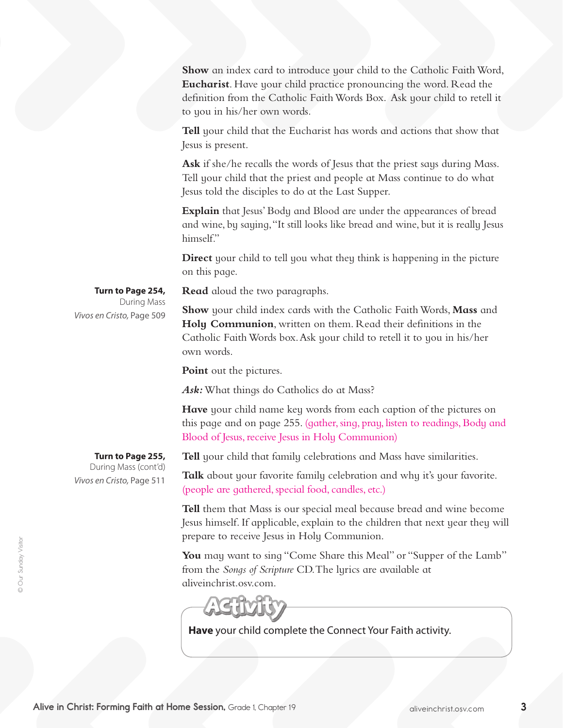Show an index card to introduce your child to the Catholic Faith Word, **Eucharist**. Have your child practice pronouncing the word. Read the definition from the Catholic FaithWords Box. Ask your child to retell it to you in his/her own words.

**Tell** your child that the Eucharist has words and actions that show that Jesus is present.

**Ask** if she/he recalls the words of Jesus that the priest says during Mass. Tell your child that the priest and people at Mass continue to do what Jesus told the disciples to do at the Last Supper.

**Explain** that Jesus' Body and Blood are under the appearances of bread and wine, by saying, "It still looks like bread and wine, but it is really Jesus himself."

**Direct** your child to tell you what they think is happening in the picture on this page.

**Read** aloud the two paragraphs.

**Show** your child index cards with the Catholic Faith Words, Mass and **Holy Communion**, written on them. Read their definitions in the Catholic FaithWords box.Ask your child to retell it to you in his/her own words.

**Point** out the pictures.

Ask: What things do Catholics do at Mass?

**Have** your child name key words from each caption of the pictures on this page and on page 255. (gather, sing, pray, listen to readings, Body and Blood of Jesus, receive Jesus in Holy Communion)

**Tell** your child that family celebrations and Mass have similarities.

Talk about your favorite family celebration and why it's your favorite. (people are gathered, special food, candles, etc.)

**Tell** them that Mass is our special meal because bread and wine become Jesus himself. If applicable, explain to the children that next year they will prepare to receive Jesus in Holy Communion.

You may want to sing "Come Share this Meal" or "Supper of the Lamb" from the *Songs of Scripture* CD.The lyrics are available at aliveinchrist.osv.com.

**Have** your child complete the Connect Your Faith activity.

**Turn to Page 254,** During Mass *Vivos en Cristo,* Page 509

**Turn to Page 255,** During Mass (cont'd) *Vivos en Cristo,* Page 511